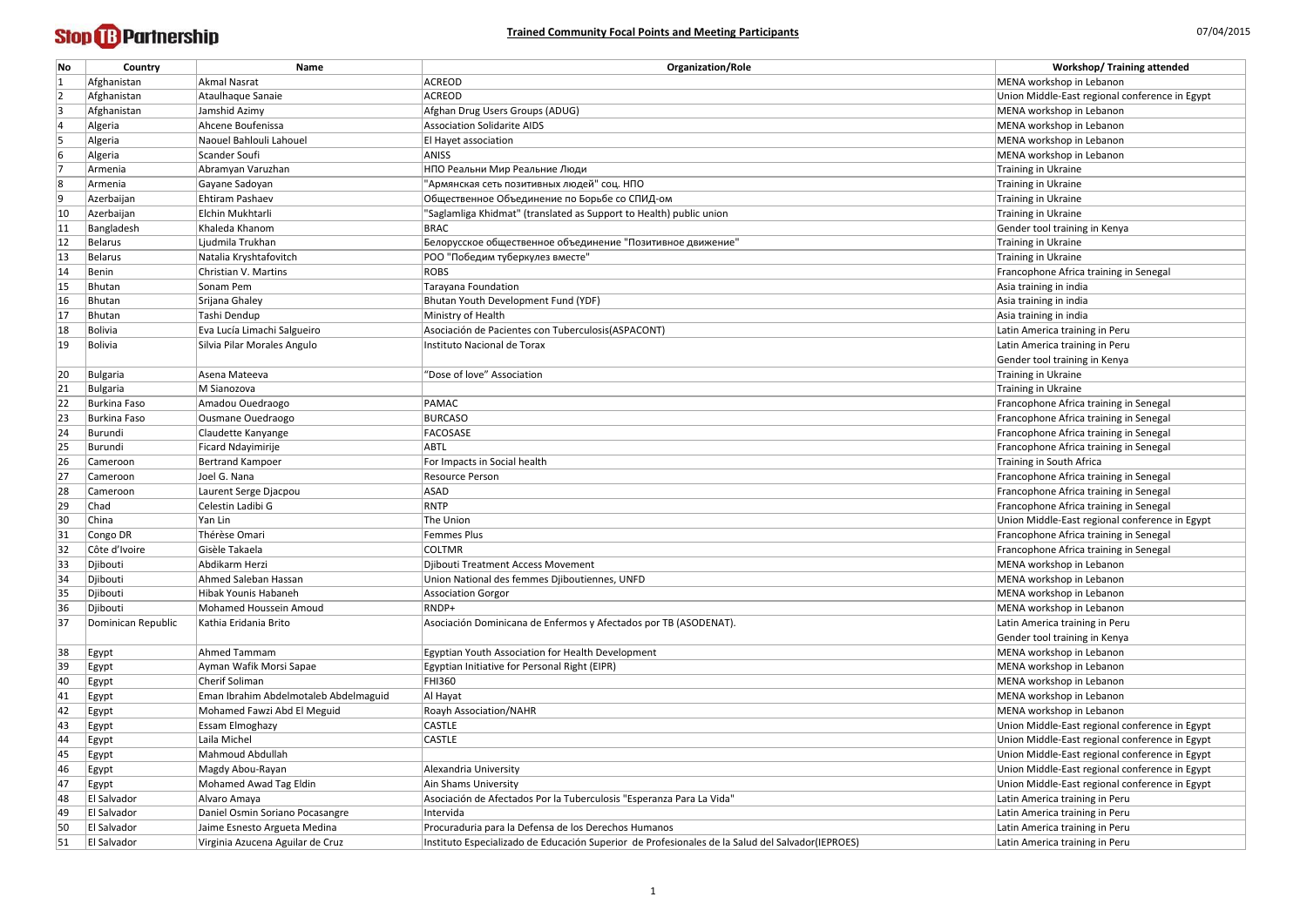| No       | Country            | <b>Name</b>                                                          | <b>Organization/Role</b>                                                                         | <b>Workshop/ Training attended</b>                        |
|----------|--------------------|----------------------------------------------------------------------|--------------------------------------------------------------------------------------------------|-----------------------------------------------------------|
|          | Afghanistan        | Akmal Nasrat                                                         | ACREOD                                                                                           | MENA workshop in Lebanon                                  |
|          | Afghanistan        | Ataulhaque Sanaie                                                    | <b>ACREOD</b>                                                                                    | Union Middle-East regional conference in Egypt            |
|          | Afghanistan        | Jamshid Azimy                                                        | Afghan Drug Users Groups (ADUG)                                                                  | MENA workshop in Lebanon                                  |
|          | Algeria            | Ahcene Boufenissa                                                    | <b>Association Solidarite AIDS</b>                                                               | MENA workshop in Lebanon                                  |
|          | Algeria            | Naouel Bahlouli Lahouel                                              | El Hayet association                                                                             | MENA workshop in Lebanon                                  |
| 6        | Algeria            | Scander Soufi                                                        | ANISS                                                                                            | MENA workshop in Lebanon                                  |
|          | Armenia            | Abramyan Varuzhan                                                    | НПО Реальни Мир Реальние Люди                                                                    | Training in Ukraine                                       |
| 8        | Armenia            | Gayane Sadoyan                                                       | "Армянская сеть позитивных людей" соц. НПО                                                       | Training in Ukraine                                       |
| 9        | Azerbaijan         | Ehtiram Pashaev                                                      | Общественное Объединение по Борьбе со СПИД-ом                                                    | Training in Ukraine                                       |
| 10       | Azerbaijan         | Elchin Mukhtarli                                                     | "Saglamliga Khidmat" (translated as Support to Health) public union                              | Training in Ukraine                                       |
| 11       | Bangladesh         | Khaleda Khanom                                                       | <b>BRAC</b>                                                                                      | Gender tool training in Kenya                             |
| 12       | Belarus            | Ljudmila Trukhan                                                     | Белорусское общественное объединение "Позитивное движение"                                       | Training in Ukraine                                       |
| 13       | Belarus            | Natalia Kryshtafovitch                                               | РОО "Победим туберкулез вместе"                                                                  | Training in Ukraine                                       |
| 14       | Benin              | Christian V. Martins                                                 | <b>ROBS</b>                                                                                      | Francophone Africa training in Senegal                    |
| 15       | Bhutan             | Sonam Pem                                                            | Tarayana Foundation                                                                              | Asia training in india                                    |
| 16       | Bhutan             | Srijana Ghaley                                                       | Bhutan Youth Development Fund (YDF)                                                              | Asia training in india                                    |
| 17       | Bhutan             | Tashi Dendup                                                         | Ministry of Health                                                                               | Asia training in india                                    |
| 18       | Bolivia            | Eva Lucía Limachi Salgueiro                                          | Asociación de Pacientes con Tuberculosis (ASPACONT)                                              | Latin America training in Peru                            |
| 19       | Bolivia            | Silvia Pilar Morales Angulo                                          | Instituto Nacional de Torax                                                                      | Latin America training in Peru                            |
|          |                    |                                                                      |                                                                                                  | Gender tool training in Kenya                             |
| 20       | Bulgaria           | Asena Mateeva                                                        | "Dose of love" Association                                                                       | Training in Ukraine                                       |
| 21       | Bulgaria           | M Sianozova                                                          |                                                                                                  | Training in Ukraine                                       |
| 22       | Burkina Faso       | Amadou Ouedraogo                                                     | PAMAC                                                                                            | Francophone Africa training in Senegal                    |
| 23       | Burkina Faso       | Ousmane Ouedraogo                                                    | <b>BURCASO</b>                                                                                   | Francophone Africa training in Senegal                    |
| 24       | Burundi            | Claudette Kanyange                                                   | FACOSASE                                                                                         | Francophone Africa training in Senegal                    |
| 25       | Burundi            | Ficard Ndayimirije                                                   | <b>ABTL</b>                                                                                      | Francophone Africa training in Senegal                    |
| 26       | Cameroon           | Bertrand Kampoer                                                     | For Impacts in Social health                                                                     | Training in South Africa                                  |
| 27       | Cameroon           | Joel G. Nana                                                         | Resource Person                                                                                  | Francophone Africa training in Senegal                    |
| 28       | Cameroon           | Laurent Serge Djacpou                                                | <b>ASAD</b>                                                                                      | Francophone Africa training in Senegal                    |
| 29       | Chad               | Celestin Ladibi G                                                    | RNTP                                                                                             | Francophone Africa training in Senegal                    |
| 30       | China              | Yan Lin                                                              | The Union                                                                                        | Union Middle-East regional conference in Egypt            |
| 31       | Congo DR           | Thérèse Omari                                                        | Femmes Plus                                                                                      | Francophone Africa training in Senegal                    |
| 32       | Côte d'Ivoire      | Gisèle Takaela                                                       | <b>COLTMR</b>                                                                                    | Francophone Africa training in Senegal                    |
|          | Djibouti           | Abdikarm Herzi                                                       | Djibouti Treatment Access Movement                                                               | MENA workshop in Lebanon                                  |
| 33<br>34 | Djibouti           | Ahmed Saleban Hassan                                                 | Union National des femmes Djiboutiennes, UNFD                                                    | MENA workshop in Lebanon                                  |
|          | Djibouti           | Hibak Younis Habaneh                                                 |                                                                                                  | MENA workshop in Lebanon                                  |
| 35<br>36 | Djibouti           | Mohamed Houssein Amoud                                               | <b>Association Gorgor</b><br>RNDP+                                                               | MENA workshop in Lebanon                                  |
| 37       |                    | Kathia Eridania Brito                                                | Asociación Dominicana de Enfermos y Afectados por TB (ASODENAT).                                 | Latin America training in Peru                            |
|          | Dominican Republic |                                                                      |                                                                                                  |                                                           |
| 38       |                    | Ahmed Tammam                                                         | Egyptian Youth Association for Health Development                                                | Gender tool training in Kenya<br>MENA workshop in Lebanon |
|          | Egypt              | Ayman Wafik Morsi Sapae                                              | Egyptian Initiative for Personal Right (EIPR)                                                    | MENA workshop in Lebanon                                  |
| 39       | Egypt              | Cherif Soliman                                                       | <b>FHI360</b>                                                                                    | MENA workshop in Lebanon                                  |
| 40       | Egypt              |                                                                      |                                                                                                  |                                                           |
| 41       | Egypt              | Eman Ibrahim Abdelmotaleb Abdelmaguid<br>Mohamed Fawzi Abd El Meguid | Al Hayat                                                                                         | MENA workshop in Lebanon<br>MENA workshop in Lebanon      |
| 42       | <b>Egypt</b>       |                                                                      | <b>Roayh Association/NAHR</b><br><b>CASTLE</b>                                                   |                                                           |
| 43       | Egypt              | <b>Essam Elmoghazy</b>                                               |                                                                                                  | Union Middle-East regional conference in Egypt            |
| 44       | Egypt              | Laila Michel                                                         | <b>CASTLE</b>                                                                                    | Union Middle-East regional conference in Egypt            |
| 45       | Egypt              | Mahmoud Abdullah                                                     |                                                                                                  | Union Middle-East regional conference in Egypt            |
| 46       | <b>Egypt</b>       | Magdy Abou-Rayan                                                     | Alexandria University                                                                            | Union Middle-East regional conference in Egypt            |
| 47       | Egypt              | Mohamed Awad Tag Eldin                                               | Ain Shams University                                                                             | Union Middle-East regional conference in Egypt            |
| 48       | El Salvador        | Alvaro Amaya                                                         | Asociación de Afectados Por la Tuberculosis "Esperanza Para La Vida"                             | Latin America training in Peru                            |
| 49       | El Salvador        | Daniel Osmin Soriano Pocasangre                                      | Intervida                                                                                        | Latin America training in Peru                            |
| 50       | <b>El Salvador</b> | Jaime Esnesto Argueta Medina                                         | Procuraduria para la Defensa de los Derechos Humanos                                             | Latin America training in Peru                            |
| 51       | El Salvador        | Virginia Azucena Aguilar de Cruz                                     | Instituto Especializado de Educación Superior de Profesionales de la Salud del Salvador(IEPROES) | Latin America training in Peru                            |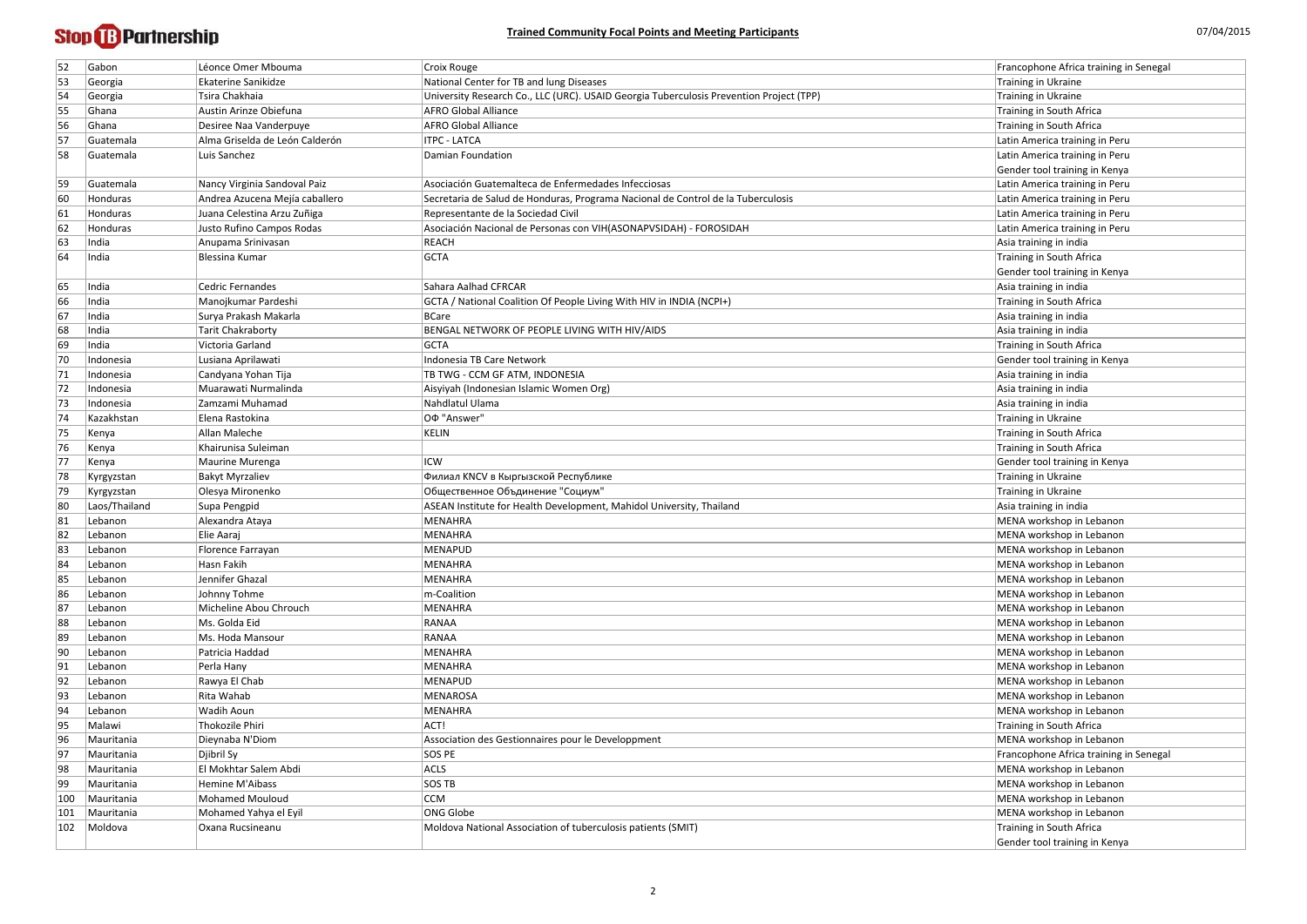| 52            | Gabon              | Léonce Omer Mbouma                     | Croix Rouge                                                                             | Francophone Africa training in Senegal               |
|---------------|--------------------|----------------------------------------|-----------------------------------------------------------------------------------------|------------------------------------------------------|
| 53            | Georgia            | Ekaterine Sanikidze                    | National Center for TB and lung Diseases                                                | Training in Ukraine                                  |
| 54            | Georgia            | Tsira Chakhaia                         | University Research Co., LLC (URC). USAID Georgia Tuberculosis Prevention Project (TPP) | Training in Ukraine                                  |
| 55            | Ghana              | Austin Arinze Obiefuna                 | <b>AFRO Global Alliance</b>                                                             | Training in South Africa                             |
| 56            | Ghana              | Desiree Naa Vanderpuye                 | <b>AFRO Global Alliance</b>                                                             | Training in South Africa                             |
| 57            | Guatemala          | Alma Griselda de León Calderón         | <b>ITPC - LATCA</b>                                                                     | Latin America training in Peru                       |
| 58            | Guatemala          | Luis Sanchez                           | Damian Foundation                                                                       | Latin America training in Peru                       |
|               |                    |                                        |                                                                                         | Gender tool training in Kenya                        |
| 59            | Guatemala          | Nancy Virginia Sandoval Paiz           | Asociación Guatemalteca de Enfermedades Infecciosas                                     | Latin America training in Peru                       |
| 60            | Honduras           | Andrea Azucena Mejía caballero         | Secretaria de Salud de Honduras, Programa Nacional de Control de la Tuberculosis        | Latin America training in Peru                       |
| 61            | Honduras           | Juana Celestina Arzu Zuñiga            | Representante de la Sociedad Civil                                                      | Latin America training in Peru                       |
| 62            | Honduras           | Justo Rufino Campos Rodas              | Asociación Nacional de Personas con VIH(ASONAPVSIDAH) - FOROSIDAH                       | Latin America training in Peru                       |
| 63            | India              | Anupama Srinivasan                     | REACH                                                                                   | Asia training in india                               |
| 64            | India              | Blessina Kumar                         | <b>GCTA</b>                                                                             | Training in South Africa                             |
|               |                    |                                        |                                                                                         | Gender tool training in Kenya                        |
| 65            | India              | <b>Cedric Fernandes</b>                | Sahara Aalhad CFRCAR                                                                    | Asia training in india                               |
| 66            | India              | Manojkumar Pardeshi                    | GCTA / National Coalition Of People Living With HIV in INDIA (NCPI+)                    | Training in South Africa                             |
| 67            | India              | Surya Prakash Makarla                  | BCare                                                                                   | Asia training in india                               |
| 68            | India              | <b>Tarit Chakraborty</b>               | BENGAL NETWORK OF PEOPLE LIVING WITH HIV/AIDS                                           | Asia training in india                               |
| 69            | India              | Victoria Garland                       | <b>GCTA</b>                                                                             | Training in South Africa                             |
| 70            | Indonesia          | Lusiana Aprilawati                     | Indonesia TB Care Network                                                               | Gender tool training in Kenya                        |
| 71            | Indonesia          | Candyana Yohan Tija                    | TB TWG - CCM GF ATM, INDONESIA                                                          | Asia training in india                               |
| 72            | Indonesia          | Muarawati Nurmalinda                   | Aisyiyah (Indonesian Islamic Women Org)                                                 | Asia training in india                               |
| 73            | Indonesia          | Zamzami Muhamad                        | Nahdlatul Ulama                                                                         | Asia training in india                               |
| 74            | Kazakhstan         | Elena Rastokina                        | O <sub>Φ</sub> "Answer"                                                                 | Training in Ukraine                                  |
| 75            | Kenya              | Allan Maleche                          | KELIN                                                                                   | Training in South Africa                             |
| 76            | Kenya              | Khairunisa Suleiman                    |                                                                                         | Training in South Africa                             |
| 77            | Kenya              | Maurine Murenga                        | <b>ICW</b>                                                                              | Gender tool training in Kenya                        |
| 78            | Kyrgyzstan         | <b>Bakyt Myrzaliev</b>                 | Филиал KNCV в Кыргызской Республике                                                     | Training in Ukraine                                  |
| 79            | Kyrgyzstan         | Olesya Mironenko                       | Общественное Объдинение "Социум"                                                        | Training in Ukraine                                  |
| 80            | Laos/Thailand      | Supa Pengpid                           | ASEAN Institute for Health Development, Mahidol University, Thailand                    | Asia training in india                               |
| 81            | Lebanon            | Alexandra Ataya                        | MENAHRA                                                                                 | MENA workshop in Lebanon                             |
| 82            | Lebanon            | Elie Aaraj                             | MENAHRA                                                                                 | MENA workshop in Lebanon                             |
| 83            | Lebanon            | Florence Farrayan                      | <b>MENAPUD</b>                                                                          | MENA workshop in Lebanon                             |
| 84            | Lebanon            | Hasn Fakih                             | MENAHRA                                                                                 | MENA workshop in Lebanon                             |
| 85            | Lebanon            | Jennifer Ghazal                        | MENAHRA                                                                                 | MENA workshop in Lebanon                             |
| 86            | Lebanon            |                                        | m-Coalition                                                                             | MENA workshop in Lebanon                             |
|               |                    | Johnny Tohme<br>Micheline Abou Chrouch |                                                                                         | MENA workshop in Lebanon                             |
| 87<br>88      | Lebanon<br>Lebanon | Ms. Golda Eid                          | MENAHRA<br>RANAA                                                                        | MENA workshop in Lebanon                             |
| 89            | Lebanon            | Ms. Hoda Mansour                       | RANAA                                                                                   | MENA workshop in Lebanon                             |
|               | Lebanon            | Patricia Haddad                        | MENAHRA                                                                                 | MENA workshop in Lebanon                             |
| 90            | Lebanon            | Perla Hany                             | MENAHRA                                                                                 | MENA workshop in Lebanon                             |
| 91<br> 92     | Lebanon            |                                        | MENAPUD                                                                                 |                                                      |
| 93            |                    | Rawya El Chab                          | MENAROSA                                                                                | MENA workshop in Lebanon<br>MENA workshop in Lebanon |
|               | Lebanon            | Rita Wahab<br>Wadih Aoun               | MENAHRA                                                                                 | MENA workshop in Lebanon                             |
| 94            | Lebanon            | <b>Thokozile Phiri</b>                 |                                                                                         |                                                      |
| 95            | Malawi             |                                        | ACT!                                                                                    | Training in South Africa                             |
| 96            | Mauritania         | Dieynaba N'Diom                        | Association des Gestionnaires pour le Developpment                                      | MENA workshop in Lebanon                             |
| 97            | Mauritania         | Djibril Sy                             | SOS PE                                                                                  | Francophone Africa training in Senegal               |
| 98            | Mauritania         | El Mokhtar Salem Abdi                  | <b>ACLS</b>                                                                             | MENA workshop in Lebanon                             |
| 99            | Mauritania         | Hemine M'Aibass                        | SOS TB                                                                                  | MENA workshop in Lebanon                             |
| 100           | Mauritania         | <b>Mohamed Mouloud</b>                 | <b>CCM</b>                                                                              | MENA workshop in Lebanon                             |
| 101           | Mauritania         | Mohamed Yahya el Eyil                  | ONG Globe                                                                               | MENA workshop in Lebanon                             |
| $ 102\rangle$ | Moldova            | Oxana Rucsineanu                       | Moldova National Association of tuberculosis patients (SMIT)                            | Training in South Africa                             |
|               |                    |                                        |                                                                                         | Gender tool training in Kenya                        |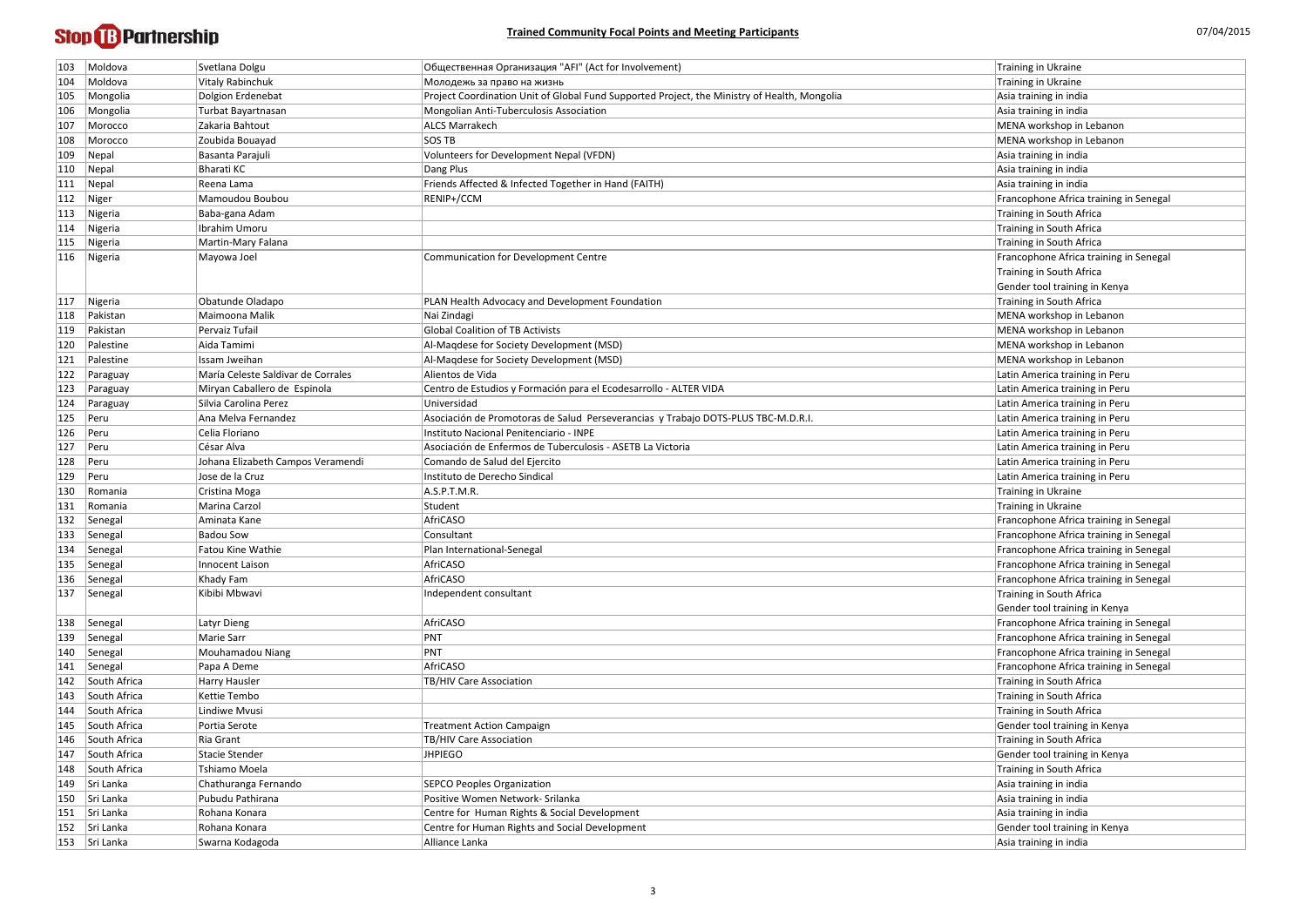| 103           | Moldova          | Svetlana Dolgu                     | Общественная Организация "AFI" (Act for Involvement)                                         | Training in Ukraine                    |
|---------------|------------------|------------------------------------|----------------------------------------------------------------------------------------------|----------------------------------------|
| 104           | Moldova          | <b>Vitaly Rabinchuk</b>            | Молодежь за право на жизнь                                                                   | Training in Ukraine                    |
| 105           | Mongolia         | Dolgion Erdenebat                  | Project Coordination Unit of Global Fund Supported Project, the Ministry of Health, Mongolia | Asia training in india                 |
| 106           | Mongolia         | Turbat Bayartnasan                 | Mongolian Anti-Tuberculosis Association                                                      | Asia training in india                 |
| 107           | Morocco          | Zakaria Bahtout                    | <b>ALCS Marrakech</b>                                                                        | MENA workshop in Lebanon               |
| 108           | Morocco          | Zoubida Bouayad                    | <b>SOS TB</b>                                                                                | MENA workshop in Lebanon               |
| $ 109\rangle$ | $\vert$ Nepal    | Basanta Parajuli                   | <b>Volunteers for Development Nepal (VFDN)</b>                                               | Asia training in india                 |
| $ 110\rangle$ | $\vert$ Nepal    | Bharati KC                         | Dang Plus                                                                                    | Asia training in india                 |
| 111           | $\vert$ Nepal    | Reena Lama                         | Friends Affected & Infected Together in Hand (FAITH)                                         | Asia training in india                 |
| $ 112\rangle$ | Niger            | Mamoudou Boubou                    | RENIP+/CCM                                                                                   | Francophone Africa training in Senegal |
| $ 113\rangle$ | Nigeria          | Baba-gana Adam                     |                                                                                              | Training in South Africa               |
| 114           | Nigeria          | Ibrahim Umoru                      |                                                                                              | Training in South Africa               |
| 115           | Nigeria          | Martin-Mary Falana                 |                                                                                              | Training in South Africa               |
|               | 116   Nigeria    | Mayowa Joel                        | Communication for Development Centre                                                         | Francophone Africa training in Senegal |
|               |                  |                                    |                                                                                              | Training in South Africa               |
|               |                  |                                    |                                                                                              | Gender tool training in Kenya          |
| 117           | Nigeria          | Obatunde Oladapo                   | PLAN Health Advocacy and Development Foundation                                              | Training in South Africa               |
| 118           | Pakistan         | Maimoona Malik                     | Nai Zindagi                                                                                  | MENA workshop in Lebanon               |
| 119           | Pakistan         | Pervaiz Tufail                     | <b>Global Coalition of TB Activists</b>                                                      | MENA workshop in Lebanon               |
| 120           | Palestine        | Aida Tamimi                        | Al-Maqdese for Society Development (MSD)                                                     | MENA workshop in Lebanon               |
| 121           | Palestine        | Issam Jweihan                      | Al-Maqdese for Society Development (MSD)                                                     | MENA workshop in Lebanon               |
| $ 122\rangle$ | Paraguay         | María Celeste Saldivar de Corrales | Alientos de Vida                                                                             | Latin America training in Peru         |
| 123           | Paraguay         | Miryan Caballero de Espinola       | Centro de Estudios y Formación para el Ecodesarrollo - ALTER VIDA                            | Latin America training in Peru         |
| 124           | Paraguay         | Silvia Carolina Perez              | Universidad                                                                                  | Latin America training in Peru         |
| 125           | Peru             | Ana Melva Fernandez                | Asociación de Promotoras de Salud Perseverancias y Trabajo DOTS-PLUS TBC-M.D.R.I.            | Latin America training in Peru         |
| 126           | Peru             | Celia Floriano                     | Instituto Nacional Penitenciario - INPE                                                      | Latin America training in Peru         |
| 127           | Peru             | César Alva                         | Asociación de Enfermos de Tuberculosis - ASETB La Victoria                                   | Latin America training in Peru         |
| 128           | Peru             | Johana Elizabeth Campos Veramendi  | Comando de Salud del Ejercito                                                                | Latin America training in Peru         |
| $ 129\rangle$ | Peru             | Jose de la Cruz                    | Instituto de Derecho Sindical                                                                | Latin America training in Peru         |
| 130           | Romania          | Cristina Moga                      | A.S.P.T.M.R.                                                                                 | Training in Ukraine                    |
| 131           | Romania          | Marina Carzol                      | Student                                                                                      | Training in Ukraine                    |
| 132           | Senegal          | Aminata Kane                       | AfriCASO                                                                                     | Francophone Africa training in Senegal |
| $ 133\rangle$ | Senegal          | <b>Badou Sow</b>                   | Consultant                                                                                   | Francophone Africa training in Senegal |
|               | 134 Senegal      | Fatou Kine Wathie                  | Plan International-Senegal                                                                   | Francophone Africa training in Senegal |
| 135           | Senegal          | Innocent Laison                    | AfriCASO                                                                                     | Francophone Africa training in Senegal |
|               | 136   Senegal    | Khady Fam                          | AfriCASO                                                                                     | Francophone Africa training in Senegal |
| 137           | Senegal          | Kibibi Mbwavi                      | Independent consultant                                                                       | Training in South Africa               |
|               |                  |                                    |                                                                                              | Gender tool training in Kenya          |
|               | 138 Senegal      | Latyr Dieng                        | AfriCASO                                                                                     | Francophone Africa training in Senegal |
| 139           | Senegal          | Marie Sarr                         | PNT                                                                                          | Francophone Africa training in Senegal |
|               | 140   Senegal    | Mouhamadou Niang                   | PNT                                                                                          | Francophone Africa training in Senegal |
| $ 141\rangle$ | Senegal          | Papa A Deme                        | AfriCASO                                                                                     | Francophone Africa training in Senegal |
|               | 142 South Africa | Harry Hausler                      | <b>TB/HIV Care Association</b>                                                               | Training in South Africa               |
| 143           | South Africa     | Kettie Tembo                       |                                                                                              | Training in South Africa               |
| 144           | South Africa     | Lindiwe Mvusi                      |                                                                                              | Training in South Africa               |
| 145           | South Africa     | Portia Serote                      | <b>Treatment Action Campaign</b>                                                             | Gender tool training in Kenya          |
| 146           | South Africa     | Ria Grant                          | TB/HIV Care Association                                                                      | Training in South Africa               |
| 147           | South Africa     | Stacie Stender                     | <b>JHPIEGO</b>                                                                               | Gender tool training in Kenya          |
| 148           | South Africa     | Tshiamo Moela                      |                                                                                              | Training in South Africa               |
| 149           | Sri Lanka        | Chathuranga Fernando               | <b>SEPCO Peoples Organization</b>                                                            | Asia training in india                 |
|               | 150 Sri Lanka    | Pubudu Pathirana                   | Positive Women Network- Srilanka                                                             | Asia training in india                 |
|               | 151   Sri Lanka  | Rohana Konara                      | Centre for Human Rights & Social Development                                                 | Asia training in india                 |
| 152           | Sri Lanka        | Rohana Konara                      | Centre for Human Rights and Social Development                                               | Gender tool training in Kenya          |
|               | 153 Sri Lanka    | Swarna Kodagoda                    | Alliance Lanka                                                                               | Asia training in india                 |
|               |                  |                                    |                                                                                              |                                        |